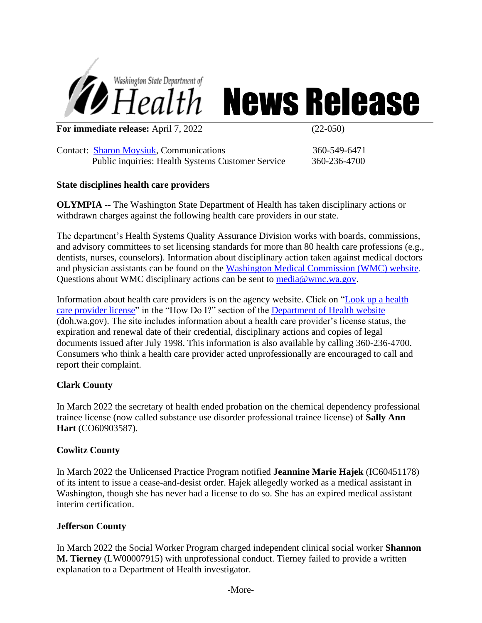

# *SHealth News Release*

**For immediate release:** April 7, 2022 (22-050)

Contact: [Sharon Moysiuk,](mailto:Sharon.moysiuk@doh.wa.gov) Communications 360-549-6471 Public inquiries: Health Systems Customer Service 360-236-4700

## **State disciplines health care providers**

**OLYMPIA --** The Washington State Department of Health has taken disciplinary actions or withdrawn charges against the following health care providers in our state.

The department's Health Systems Quality Assurance Division works with boards, commissions, and advisory committees to set licensing standards for more than 80 health care professions (e.g., dentists, nurses, counselors). Information about disciplinary action taken against medical doctors and physician assistants can be found on the [Washington Medical Commission \(WMC\) website.](http://www.wmc.wa.gov/) Questions about WMC disciplinary actions can be sent to [media@wmc.wa.gov.](mailto:media@wmc.wa.gov)

Information about health care providers is on the agency website. Click on ["Look up a health](https://fortress.wa.gov/doh/providercredentialsearch/)  [care provider license"](https://fortress.wa.gov/doh/providercredentialsearch/) in the "How Do I?" section of the [Department of Health website](http://www.doh.wa.gov/Home.aspx) (doh.wa.gov). The site includes information about a health care provider's license status, the expiration and renewal date of their credential, disciplinary actions and copies of legal documents issued after July 1998. This information is also available by calling 360-236-4700. Consumers who think a health care provider acted unprofessionally are encouraged to call and report their complaint.

# **Clark County**

In March 2022 the secretary of health ended probation on the chemical dependency professional trainee license (now called substance use disorder professional trainee license) of **Sally Ann Hart** (CO60903587).

# **Cowlitz County**

In March 2022 the Unlicensed Practice Program notified **Jeannine Marie Hajek** (IC60451178) of its intent to issue a cease-and-desist order. Hajek allegedly worked as a medical assistant in Washington, though she has never had a license to do so. She has an expired medical assistant interim certification.

# **Jefferson County**

In March 2022 the Social Worker Program charged independent clinical social worker **Shannon M. Tierney** (LW00007915) with unprofessional conduct. Tierney failed to provide a written explanation to a Department of Health investigator.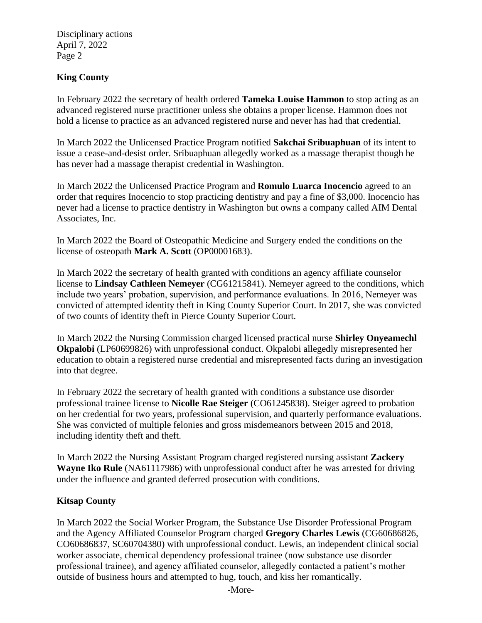Disciplinary actions April 7, 2022 Page 2

## **King County**

In February 2022 the secretary of health ordered **Tameka Louise Hammon** to stop acting as an advanced registered nurse practitioner unless she obtains a proper license. Hammon does not hold a license to practice as an advanced registered nurse and never has had that credential.

In March 2022 the Unlicensed Practice Program notified **Sakchai Sribuaphuan** of its intent to issue a cease-and-desist order. Sribuaphuan allegedly worked as a massage therapist though he has never had a massage therapist credential in Washington.

In March 2022 the Unlicensed Practice Program and **Romulo Luarca Inocencio** agreed to an order that requires Inocencio to stop practicing dentistry and pay a fine of \$3,000. Inocencio has never had a license to practice dentistry in Washington but owns a company called AIM Dental Associates, Inc.

In March 2022 the Board of Osteopathic Medicine and Surgery ended the conditions on the license of osteopath **Mark A. Scott** (OP00001683).

In March 2022 the secretary of health granted with conditions an agency affiliate counselor license to **Lindsay Cathleen Nemeyer** (CG61215841). Nemeyer agreed to the conditions, which include two years' probation, supervision, and performance evaluations. In 2016, Nemeyer was convicted of attempted identity theft in King County Superior Court. In 2017, she was convicted of two counts of identity theft in Pierce County Superior Court.

In March 2022 the Nursing Commission charged licensed practical nurse **Shirley Onyeamechl Okpalobi** (LP60699826) with unprofessional conduct. Okpalobi allegedly misrepresented her education to obtain a registered nurse credential and misrepresented facts during an investigation into that degree.

In February 2022 the secretary of health granted with conditions a substance use disorder professional trainee license to **Nicolle Rae Steiger** (CO61245838). Steiger agreed to probation on her credential for two years, professional supervision, and quarterly performance evaluations. She was convicted of multiple felonies and gross misdemeanors between 2015 and 2018, including identity theft and theft.

In March 2022 the Nursing Assistant Program charged registered nursing assistant **Zackery Wayne Iko Rule** (NA61117986) with unprofessional conduct after he was arrested for driving under the influence and granted deferred prosecution with conditions.

### **Kitsap County**

In March 2022 the Social Worker Program, the Substance Use Disorder Professional Program and the Agency Affiliated Counselor Program charged **Gregory Charles Lewis** (CG60686826, CO60686837, SC60704380) with unprofessional conduct. Lewis, an independent clinical social worker associate, chemical dependency professional trainee (now substance use disorder professional trainee), and agency affiliated counselor, allegedly contacted a patient's mother outside of business hours and attempted to hug, touch, and kiss her romantically.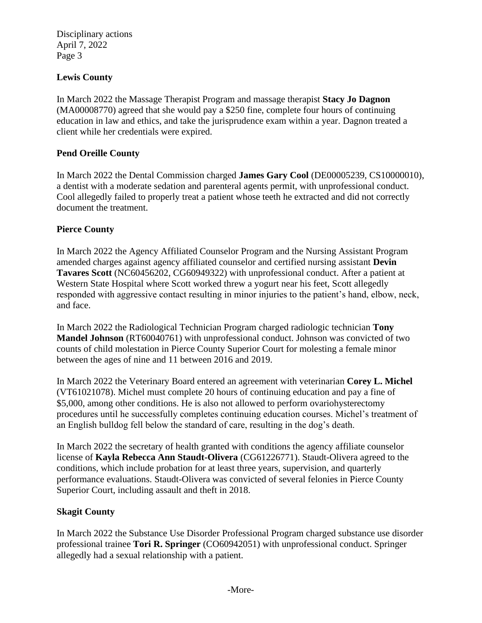Disciplinary actions April 7, 2022 Page 3

## **Lewis County**

In March 2022 the Massage Therapist Program and massage therapist **Stacy Jo Dagnon** (MA00008770) agreed that she would pay a \$250 fine, complete four hours of continuing education in law and ethics, and take the jurisprudence exam within a year. Dagnon treated a client while her credentials were expired.

### **Pend Oreille County**

In March 2022 the Dental Commission charged **James Gary Cool** (DE00005239, CS10000010), a dentist with a moderate sedation and parenteral agents permit, with unprofessional conduct. Cool allegedly failed to properly treat a patient whose teeth he extracted and did not correctly document the treatment.

### **Pierce County**

In March 2022 the Agency Affiliated Counselor Program and the Nursing Assistant Program amended charges against agency affiliated counselor and certified nursing assistant **Devin Tavares Scott** (NC60456202, CG60949322) with unprofessional conduct. After a patient at Western State Hospital where Scott worked threw a yogurt near his feet, Scott allegedly responded with aggressive contact resulting in minor injuries to the patient's hand, elbow, neck, and face.

In March 2022 the Radiological Technician Program charged radiologic technician **Tony Mandel Johnson** (RT60040761) with unprofessional conduct. Johnson was convicted of two counts of child molestation in Pierce County Superior Court for molesting a female minor between the ages of nine and 11 between 2016 and 2019.

In March 2022 the Veterinary Board entered an agreement with veterinarian **Corey L. Michel** (VT61021078). Michel must complete 20 hours of continuing education and pay a fine of \$5,000, among other conditions. He is also not allowed to perform ovariohysterectomy procedures until he successfully completes continuing education courses. Michel's treatment of an English bulldog fell below the standard of care, resulting in the dog's death.

In March 2022 the secretary of health granted with conditions the agency affiliate counselor license of **Kayla Rebecca Ann Staudt-Olivera** (CG61226771). Staudt-Olivera agreed to the conditions, which include probation for at least three years, supervision, and quarterly performance evaluations. Staudt-Olivera was convicted of several felonies in Pierce County Superior Court, including assault and theft in 2018.

#### **Skagit County**

In March 2022 the Substance Use Disorder Professional Program charged substance use disorder professional trainee **Tori R. Springer** (CO60942051) with unprofessional conduct. Springer allegedly had a sexual relationship with a patient.